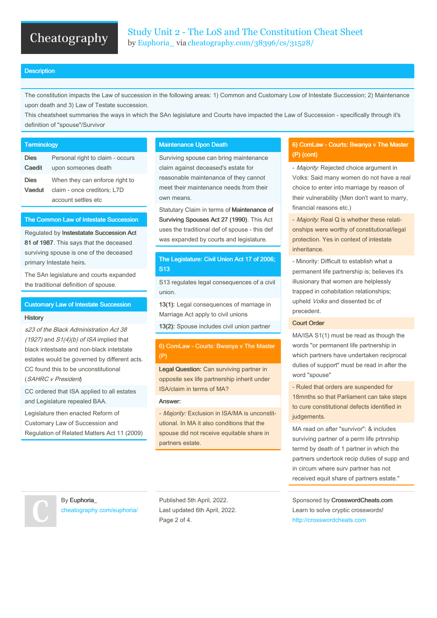#### **Description**

The constitution impacts the Law of succession in the following areas: 1) Common and Customary Low of Intestate Succession; 2) Maintenance upon death and 3) Law of Testate succession.

This cheatsheet summaries the ways in which the SAn legislature and Courts have impacted the Law of Succession - specifically through it's definition of "spouse"/Survivor

#### **Terminology**

Dies Caedit Personal right to claim - occurs upon someones death Dies Vaedut When they can enforce right to claim - once creditors; L7D account settles etc

#### The Common Law of Intestate Succession

Regulated by Instestatate Succession Act 81 of 1987. This says that the deceased surviving spouse is one of the deceased primary Intestate heirs.

The SAn legislature and courts expanded the traditional definition of spouse.

#### Customary Law of Intestate Succession

#### **History**

s23 of the Black Administration Act 38  $(1927)$  and  $S1(4)(b)$  of ISA implied that black intestsate and non-black intetstate estates would be governed by different acts. CC found this to be unconstitutional (SAHRC <sup>v</sup> President)

CC ordered that ISA applied to all estates and Legislature repealed BAA.

Legislature then enacted Reform of Customary Law of Succession and Regulation of Related Matters Act 11 (2009)

#### Maintenance Upon Death

Surviving spouse can bring maintenance claim against deceased's estate for reasonable maintenance of they cannot meet their maintenance needs from their own means.

Statutary Claim in terms of Maintenance of Surviving Spouses Act 27 (1990). This Act uses the traditional def of spouse - this def was expanded by courts and legislature.

#### The Legislature: Civil Union Act 17 of 2006; S13

S13 regulates legal consequences of a civil union.

13(1): Legal consequences of marriage in Marriage Act apply to civil unions

13(2): Spouse includes civil union partner

### 6) ComLaw - Courts: Bwanya v The Master (P)

Legal Question: Can surviving partner in opposite sex life partnership inherit under ISA/claim in terms of MA?

#### Answer:

- Majority: Exclusion in ISA/MA is unconstitutional. In MA it also conditions that the spouse did not receive equitable share in partners estate.

## 6) ComLaw - Courts: Bwanya v The Master (P) (cont)

- Majority. Rejected choice argument in Volks: Said many women do not have a real choice to enter into marriage by reason of their vulnerability (Men don't want to marry, financial reasons etc.)

- Majority. Real Q is whether these relationships were worthy of constitutional/legal protection. Yes in context of intestate inheritance.

- Minority: Difficult to establish what a permanent life partnership is; believes it's illusionary that women are helplessly trapped in cohabitation relationships; upheld Volks and dissented bc of precedent.

#### Court Order

MA/ISA S1(1) must be read as though the words "or permanent life partnership in which partners have undertaken reciprocal duties of support" must be read in after the word "spouse"

- Ruled that orders are suspended for 18mnths so that Parliament can take steps to cure constitutional defects identified in judgements.

MA read on after "survivor": & includes surviving partner of a perm life prtnrship termd by death of 1 partner in which the partners undertook recip duties of supp and in circum where surv partner has not received equit share of partners estate."

By Euphoria\_ [cheatography.com/euphoria/](http://www.cheatography.com/euphoria/) Published 5th April, 2022. Last updated 6th April, 2022. Page 2 of 4.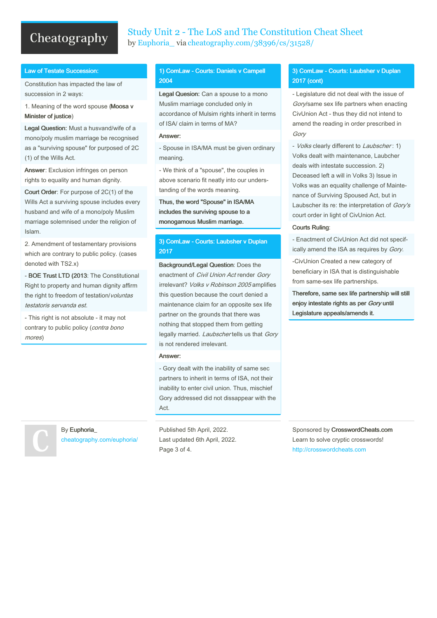# Study Unit 2 - The LoS and The Constitution Cheat Sheet by [Euphoria\\_](http://www.cheatography.com/euphoria/) via [cheatography.com/38396/cs/31528/](http://www.cheatography.com/euphoria/cheat-sheets/study-unit-2-the-los-and-the-constitution)

#### Law of Testate Succession:

Constitution has impacted the law of succession in 2 ways:

1. Meaning of the word spouse (Moosa v Minister of justice)

Legal Question: Must a husvand/wife of a mono/poly muslim marriage be recognised as a "surviving spouse" for purposed of 2C (1) of the Wills Act.

Answer: Exclusion infringes on person rights to equality and human dignity.

Court Order: For purpose of 2C(1) of the Wills Act a surviving spouse includes every husband and wife of a mono/poly Muslim marriage solemnised under the religion of Islam.

2. Amendment of testamentary provisions which are contrary to public policy. (cases denoted with TS2.x)

- BOE Trust LTD (2013: The Constitutional Right to property and human dignity affirm the right to freedom of testation/voluntas testatoris servanda est.

- This right is not absolute - it may not contrary to public policy (contra bono mores)

By Euphoria\_

[cheatography.com/euphoria/](http://www.cheatography.com/euphoria/)

# 1) ComLaw - Courts: Daniels v Campell 2004

Legal Quesion: Can a spouse to a mono Muslim marriage concluded only in accordance of Mulsim rights inherit in terms of ISA/ claim in terms of MA?

#### Answer:

- Spouse in ISA/MA must be given ordinary meaning.

- We think of a "spouse", the couples in above scenario fit neatly into our unders‐ tanding of the words meaning.

Thus, the word "Spouse" in ISA/MA includes the surviving spouse to a monogamous Muslim marriage.

# 3) ComLaw - Courts: Laubsher v Duplan 2017

Background/Legal Question: Does the enactment of Civil Union Act render Gory irrelevant? Volks v Robinson 2005 amplifies this question because the court denied a maintenance claim for an opposite sex life partner on the grounds that there was nothing that stopped them from getting legally married. Laubscher tells us that Gory is not rendered irrelevant.

#### Answer:

- Gory dealt with the inability of same sec partners to inherit in terms of ISA, not their inability to enter civil union. Thus, mischief Gory addressed did not dissappear with the Act.

Published 5th April, 2022. Last updated 6th April, 2022. Page 3 of 4.

# 3) ComLaw - Courts: Laubsher v Duplan 2017 (cont)

- Legislature did not deal with the issue of Gory/same sex life partners when enacting CivUnion Act - thus they did not intend to amend the reading in order prescribed in Gory

- Volks clearly different to Laubscher: 1) Volks dealt with maintenance, Laubcher deals with intestate succession. 2) Deceased left a will in Volks 3) Issue in Volks was an equality challenge of Mainte‐ nance of Surviving Spoused Act, but in Laubscher its re: the interpretation of Gory's court order in light of CivUnion Act.

#### Courts Ruling:

- Enactment of CivUnion Act did not specif‐ ically amend the ISA as requires by Gory.

-CivUnion Created a new category of beneficiary in ISA that is distinguishable from same-sex life partnerships.

Therefore, same sex life partnership will still enjoy intestate rights as per Gory until Legislature appeals/amends it.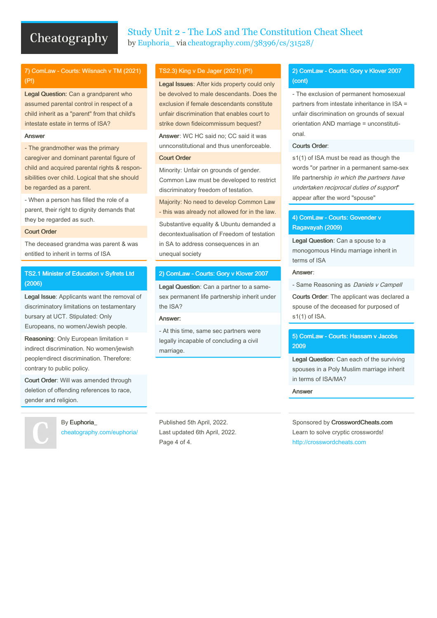# Study Unit 2 - The LoS and The Constitution Cheat Sheet by [Euphoria\\_](http://www.cheatography.com/euphoria/) via [cheatography.com/38396/cs/31528/](http://www.cheatography.com/euphoria/cheat-sheets/study-unit-2-the-los-and-the-constitution)

# 7) ComLaw - Courts: Wilsnach v TM (2021) (P!)

Legal Question: Can a grandparent who assumed parental control in respect of a child inherit as a "parent" from that child's intestate estate in terms of ISA?

#### Answer

- The grandmother was the primary caregiver and dominant parental figure of child and acquired parental rights & respon‐ sibilities over child. Logical that she should be regarded as a parent.

- When a person has filled the role of a parent, their right to dignity demands that they be regarded as such.

#### Court Order

The deceased grandma was parent & was entitled to inherit in terms of ISA

### TS2.1 Minister of Education v Syfrets Ltd (2006)

Legal Issue: Applicants want the removal of discriminatory limitations on testamentary bursary at UCT. Stipulated: Only Europeans, no women/Jewish people.

Reasoning: Only European limitation = indirect discrimination. No women/jewish people=direct discrimination. Therefore: contrary to public policy.

Court Order: Will was amended through deletion of offending references to race, gender and religion.



By Euphoria\_ [cheatography.com/euphoria/](http://www.cheatography.com/euphoria/)

#### TS2.3) King v De Jager (2021) (P!)

Legal Issues: After kids property could only be devolved to male descendants. Does the exclusion if female descendants constitute unfair discrimination that enables court to strike down fideicommissum bequest?

Answer: WC HC said no; CC said it was unnconstitutional and thus unenforceable.

#### Court Order

Minority: Unfair on grounds of gender. Common Law must be developed to restrict discriminatory freedom of testation.

Majority: No need to develop Common Law - this was already not allowed for in the law.

Substantive equality & Ubuntu demanded a decontextualisation of Freedom of testation in SA to address consequences in an unequal society

#### 2) ComLaw - Courts: Gory v Klover 2007

Legal Question: Can a partner to a samesex permanent life partnership inherit under the ISA?

#### Answer:

- At this time, same sec partners were legally incapable of concluding a civil marriage.

Published 5th April, 2022. Last updated 6th April, 2022. Page 4 of 4.

## 2) ComLaw - Courts: Gory v Klover 2007 (cont)

- The exclusion of permanent homosexual partners from intestate inheritance in ISA = unfair discrimination on grounds of sexual orientation AND marriage = unconstituti‐ onal.

#### Courts Order:

s1(1) of ISA must be read as though the words "or partner in a permanent same-sex life partnership in which the partners have undertaken reciprocal duties of support" appear after the word "spouse"

## 4) ComLaw - Courts: Govender v Ragavayah (2009)

Legal Question: Can a spouse to a monogomous Hindu marriage inherit in terms of ISA

#### Answer:

- Same Reasoning as *Daniels v Campell* 

Courts Order: The applicant was declared a spouse of the deceased for purposed of s1(1) of ISA.

### 5) ComLaw - Courts: Hassam v Jacobs 2009

Legal Question: Can each of the surviving spouses in a Poly Muslim marriage inherit in terms of ISA/MA?

Answer